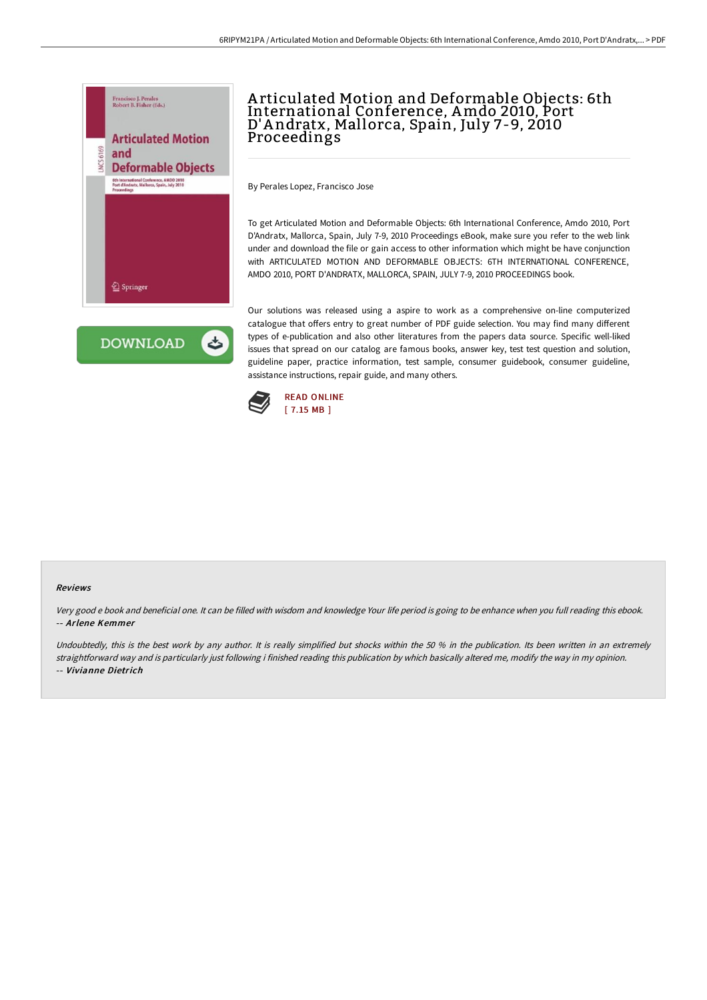

**DOWNLOAD** 

ٹ

A rticulated Motion and Deformable Objects: 6th International Conference, Amdo 2010, Port D'A ndratx, Mallorca, Spain, July 7-9, 2010 Proceedings

By Perales Lopez, Francisco Jose

To get Articulated Motion and Deformable Objects: 6th International Conference, Amdo 2010, Port D'Andratx, Mallorca, Spain, July 7-9, 2010 Proceedings eBook, make sure you refer to the web link under and download the file or gain access to other information which might be have conjunction with ARTICULATED MOTION AND DEFORMABLE OBJECTS: 6TH INTERNATIONAL CONFERENCE, AMDO 2010, PORT D'ANDRATX, MALLORCA, SPAIN, JULY 7-9, 2010 PROCEEDINGS book.

Our solutions was released using a aspire to work as a comprehensive on-line computerized catalogue that offers entry to great number of PDF guide selection. You may find many different types of e-publication and also other literatures from the papers data source. Specific well-liked issues that spread on our catalog are famous books, answer key, test test question and solution, guideline paper, practice information, test sample, consumer guidebook, consumer guideline, assistance instructions, repair guide, and many others.



## Reviews

Very good <sup>e</sup> book and beneficial one. It can be filled with wisdom and knowledge Your life period is going to be enhance when you full reading this ebook. -- Arlene Kemmer

Undoubtedly, this is the best work by any author. It is really simplified but shocks within the 50 % in the publication. Its been written in an extremely straightforward way and is particularly just following i finished reading this publication by which basically altered me, modify the way in my opinion. -- Vivianne Dietrich